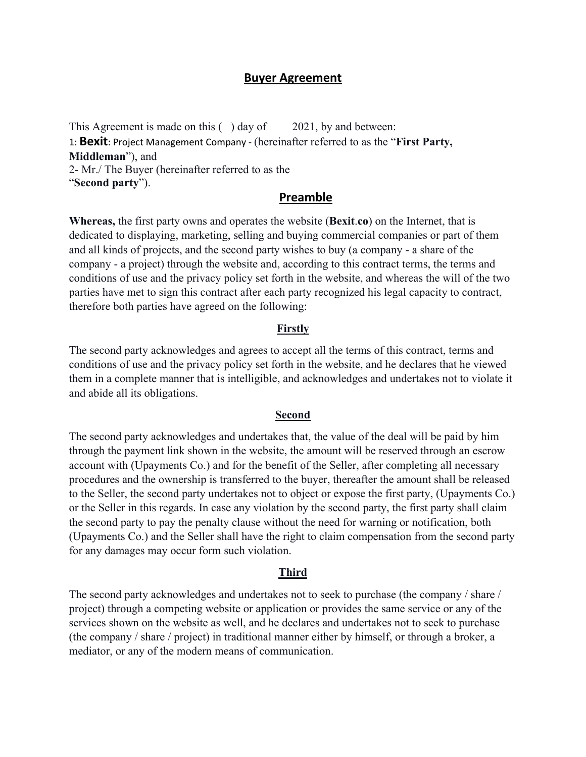### **Buyer Agreement**

This Agreement is made on this () day of 2021, by and between: 1: **Bexit**: Project Management Company - (hereinafter referred to as the "**First Party, Middleman**"), and 2- Mr./ The Buyer (hereinafter referred to as the "**Second party**").

# **Preamble**

**Whereas,** the first party owns and operates the website (**Bexit**.**co**) on the Internet, that is dedicated to displaying, marketing, selling and buying commercial companies or part of them and all kinds of projects, and the second party wishes to buy (a company - a share of the company - a project) through the website and, according to this contract terms, the terms and conditions of use and the privacy policy set forth in the website, and whereas the will of the two parties have met to sign this contract after each party recognized his legal capacity to contract, therefore both parties have agreed on the following:

### **Firstly**

The second party acknowledges and agrees to accept all the terms of this contract, terms and conditions of use and the privacy policy set forth in the website, and he declares that he viewed them in a complete manner that is intelligible, and acknowledges and undertakes not to violate it and abide all its obligations.

### **Second**

The second party acknowledges and undertakes that, the value of the deal will be paid by him through the payment link shown in the website, the amount will be reserved through an escrow account with (Upayments Co.) and for the benefit of the Seller, after completing all necessary procedures and the ownership is transferred to the buyer, thereafter the amount shall be released to the Seller, the second party undertakes not to object or expose the first party, (Upayments Co.) or the Seller in this regards. In case any violation by the second party, the first party shall claim the second party to pay the penalty clause without the need for warning or notification, both (Upayments Co.) and the Seller shall have the right to claim compensation from the second party for any damages may occur form such violation.

#### **Third**

The second party acknowledges and undertakes not to seek to purchase (the company / share / project) through a competing website or application or provides the same service or any of the services shown on the website as well, and he declares and undertakes not to seek to purchase (the company / share / project) in traditional manner either by himself, or through a broker, a mediator, or any of the modern means of communication.